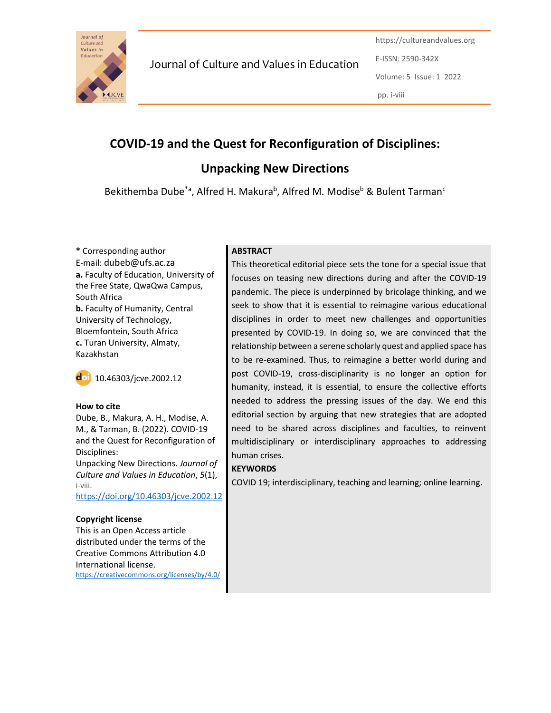

Journal of Culture and Values in Education

https://cultureandvalues.org E-ISSN: 2590-342X Volume: 5 Issue: 1 2022 pp. i-viii

# COVID-19 and the Quest for Reconfiguration of Disciplines:

Unpacking New Directions

Bekithemba Dube<sup>\*a</sup>, Alfred H. Makura<sup>b</sup>, Alfred M. Modise<sup>b</sup> & Bulent Tarman<sup>c</sup>

\* Corresponding author E-mail: dubeb@ufs.ac.za a. Faculty of Education, University of the Free State, QwaQwa Campus, South Africa b. Faculty of Humanity, Central University of Technology, Bloemfontein, South Africa c. Turan University, Almaty, Kazakhstan



### How to cite

Dube, B., Makura, A. H., Modise, A. M., & Tarman, B. (2022). COVID-19 and the Quest for Reconfiguration of Disciplines:

Unpacking New Directions. Journal of Culture and Values in Education, 5(1), i-viii.

https://doi.org/10.46303/jcve.2002.12

### Copyright license

This is an Open Access article distributed under the terms of the Creative Commons Attribution 4.0 International license. https://creativecommons.org/licenses/by/4.0/

## **ABSTRACT**

This theoretical editorial piece sets the tone for a special issue that focuses on teasing new directions during and after the COVID-19 pandemic. The piece is underpinned by bricolage thinking, and we seek to show that it is essential to reimagine various educational disciplines in order to meet new challenges and opportunities presented by COVID-19. In doing so, we are convinced that the relationship between a serene scholarly quest and applied space has to be re-examined. Thus, to reimagine a better world during and post COVID-19, cross-disciplinarity is no longer an option for humanity, instead, it is essential, to ensure the collective efforts needed to address the pressing issues of the day. We end this editorial section by arguing that new strategies that are adopted need to be shared across disciplines and faculties, to reinvent multidisciplinary or interdisciplinary approaches to addressing human crises.

### **KEYWORDS**

COVID 19; interdisciplinary, teaching and learning; online learning.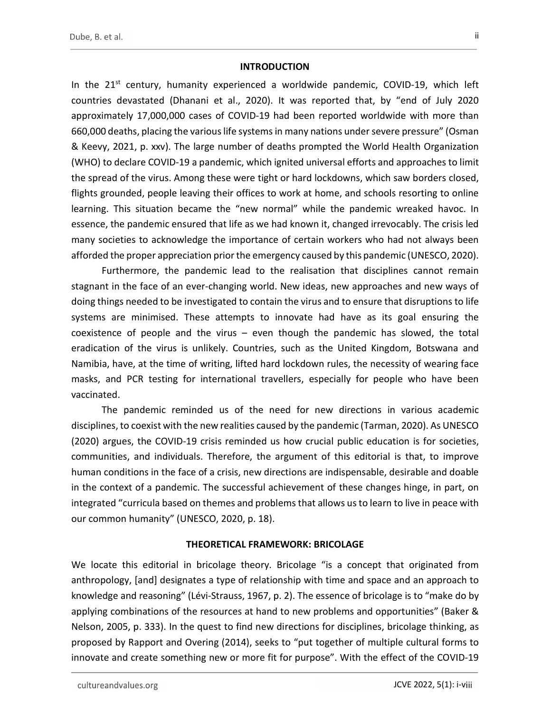#### **INTRODUCTION**

In the  $21^{st}$  century, humanity experienced a worldwide pandemic, COVID-19, which left countries devastated (Dhanani et al., 2020). It was reported that, by "end of July 2020 approximately 17,000,000 cases of COVID-19 had been reported worldwide with more than 660,000 deaths, placing the various life systems in many nations under severe pressure" (Osman & Keevy, 2021, p. xxv). The large number of deaths prompted the World Health Organization (WHO) to declare COVID-19 a pandemic, which ignited universal efforts and approaches to limit the spread of the virus. Among these were tight or hard lockdowns, which saw borders closed, flights grounded, people leaving their offices to work at home, and schools resorting to online learning. This situation became the "new normal" while the pandemic wreaked havoc. In essence, the pandemic ensured that life as we had known it, changed irrevocably. The crisis led many societies to acknowledge the importance of certain workers who had not always been afforded the proper appreciation prior the emergency caused by this pandemic (UNESCO, 2020).

Furthermore, the pandemic lead to the realisation that disciplines cannot remain stagnant in the face of an ever-changing world. New ideas, new approaches and new ways of doing things needed to be investigated to contain the virus and to ensure that disruptions to life systems are minimised. These attempts to innovate had have as its goal ensuring the coexistence of people and the virus – even though the pandemic has slowed, the total eradication of the virus is unlikely. Countries, such as the United Kingdom, Botswana and Namibia, have, at the time of writing, lifted hard lockdown rules, the necessity of wearing face masks, and PCR testing for international travellers, especially for people who have been vaccinated.

The pandemic reminded us of the need for new directions in various academic disciplines, to coexist with the new realities caused by the pandemic (Tarman, 2020). As UNESCO (2020) argues, the COVID-19 crisis reminded us how crucial public education is for societies, communities, and individuals. Therefore, the argument of this editorial is that, to improve human conditions in the face of a crisis, new directions are indispensable, desirable and doable in the context of a pandemic. The successful achievement of these changes hinge, in part, on integrated "curricula based on themes and problems that allows us to learn to live in peace with our common humanity" (UNESCO, 2020, p. 18).

#### THEORETICAL FRAMEWORK: BRICOLAGE

We locate this editorial in bricolage theory. Bricolage "is a concept that originated from anthropology, [and] designates a type of relationship with time and space and an approach to knowledge and reasoning" (Lévi-Strauss, 1967, p. 2). The essence of bricolage is to "make do by applying combinations of the resources at hand to new problems and opportunities" (Baker & Nelson, 2005, p. 333). In the quest to find new directions for disciplines, bricolage thinking, as proposed by Rapport and Overing (2014), seeks to "put together of multiple cultural forms to innovate and create something new or more fit for purpose". With the effect of the COVID-19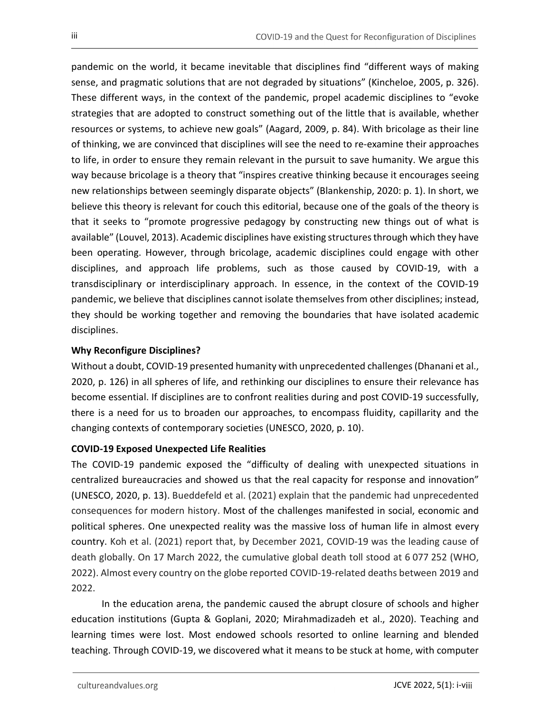pandemic on the world, it became inevitable that disciplines find "different ways of making sense, and pragmatic solutions that are not degraded by situations" (Kincheloe, 2005, p. 326). These different ways, in the context of the pandemic, propel academic disciplines to "evoke strategies that are adopted to construct something out of the little that is available, whether resources or systems, to achieve new goals" (Aagard, 2009, p. 84). With bricolage as their line of thinking, we are convinced that disciplines will see the need to re-examine their approaches to life, in order to ensure they remain relevant in the pursuit to save humanity. We argue this way because bricolage is a theory that "inspires creative thinking because it encourages seeing new relationships between seemingly disparate objects" (Blankenship, 2020: p. 1). In short, we believe this theory is relevant for couch this editorial, because one of the goals of the theory is that it seeks to "promote progressive pedagogy by constructing new things out of what is available" (Louvel, 2013). Academic disciplines have existing structures through which they have been operating. However, through bricolage, academic disciplines could engage with other disciplines, and approach life problems, such as those caused by COVID-19, with a transdisciplinary or interdisciplinary approach. In essence, in the context of the COVID-19 pandemic, we believe that disciplines cannot isolate themselves from other disciplines; instead, they should be working together and removing the boundaries that have isolated academic disciplines.

## Why Reconfigure Disciplines?

Without a doubt, COVID-19 presented humanity with unprecedented challenges (Dhanani et al., 2020, p. 126) in all spheres of life, and rethinking our disciplines to ensure their relevance has become essential. If disciplines are to confront realities during and post COVID-19 successfully, there is a need for us to broaden our approaches, to encompass fluidity, capillarity and the changing contexts of contemporary societies (UNESCO, 2020, p. 10).

### COVID-19 Exposed Unexpected Life Realities

The COVID-19 pandemic exposed the "difficulty of dealing with unexpected situations in centralized bureaucracies and showed us that the real capacity for response and innovation" (UNESCO, 2020, p. 13). Bueddefeld et al. (2021) explain that the pandemic had unprecedented consequences for modern history. Most of the challenges manifested in social, economic and political spheres. One unexpected reality was the massive loss of human life in almost every country. Koh et al. (2021) report that, by December 2021, COVID-19 was the leading cause of death globally. On 17 March 2022, the cumulative global death toll stood at 6 077 252 (WHO, 2022). Almost every country on the globe reported COVID-19-related deaths between 2019 and 2022.

In the education arena, the pandemic caused the abrupt closure of schools and higher education institutions (Gupta & Goplani, 2020; Mirahmadizadeh et al., 2020). Teaching and learning times were lost. Most endowed schools resorted to online learning and blended teaching. Through COVID-19, we discovered what it means to be stuck at home, with computer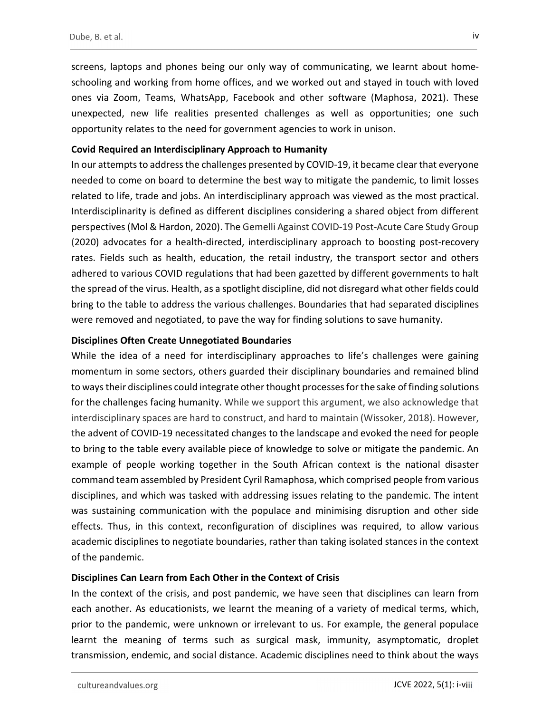screens, laptops and phones being our only way of communicating, we learnt about homeschooling and working from home offices, and we worked out and stayed in touch with loved ones via Zoom, Teams, WhatsApp, Facebook and other software (Maphosa, 2021). These unexpected, new life realities presented challenges as well as opportunities; one such opportunity relates to the need for government agencies to work in unison.

#### Covid Required an Interdisciplinary Approach to Humanity

In our attempts to address the challenges presented by COVID-19, it became clear that everyone needed to come on board to determine the best way to mitigate the pandemic, to limit losses related to life, trade and jobs. An interdisciplinary approach was viewed as the most practical. Interdisciplinarity is defined as different disciplines considering a shared object from different perspectives (Mol & Hardon, 2020). The Gemelli Against COVID-19 Post-Acute Care Study Group (2020) advocates for a health-directed, interdisciplinary approach to boosting post-recovery rates. Fields such as health, education, the retail industry, the transport sector and others adhered to various COVID regulations that had been gazetted by different governments to halt the spread of the virus. Health, as a spotlight discipline, did not disregard what other fields could bring to the table to address the various challenges. Boundaries that had separated disciplines were removed and negotiated, to pave the way for finding solutions to save humanity.

#### Disciplines Often Create Unnegotiated Boundaries

While the idea of a need for interdisciplinary approaches to life's challenges were gaining momentum in some sectors, others guarded their disciplinary boundaries and remained blind to ways their disciplines could integrate other thought processes for the sake of finding solutions for the challenges facing humanity. While we support this argument, we also acknowledge that interdisciplinary spaces are hard to construct, and hard to maintain (Wissoker, 2018). However, the advent of COVID-19 necessitated changes to the landscape and evoked the need for people to bring to the table every available piece of knowledge to solve or mitigate the pandemic. An example of people working together in the South African context is the national disaster command team assembled by President Cyril Ramaphosa, which comprised people from various disciplines, and which was tasked with addressing issues relating to the pandemic. The intent was sustaining communication with the populace and minimising disruption and other side effects. Thus, in this context, reconfiguration of disciplines was required, to allow various academic disciplines to negotiate boundaries, rather than taking isolated stances in the context of the pandemic.

### Disciplines Can Learn from Each Other in the Context of Crisis

In the context of the crisis, and post pandemic, we have seen that disciplines can learn from each another. As educationists, we learnt the meaning of a variety of medical terms, which, prior to the pandemic, were unknown or irrelevant to us. For example, the general populace learnt the meaning of terms such as surgical mask, immunity, asymptomatic, droplet transmission, endemic, and social distance. Academic disciplines need to think about the ways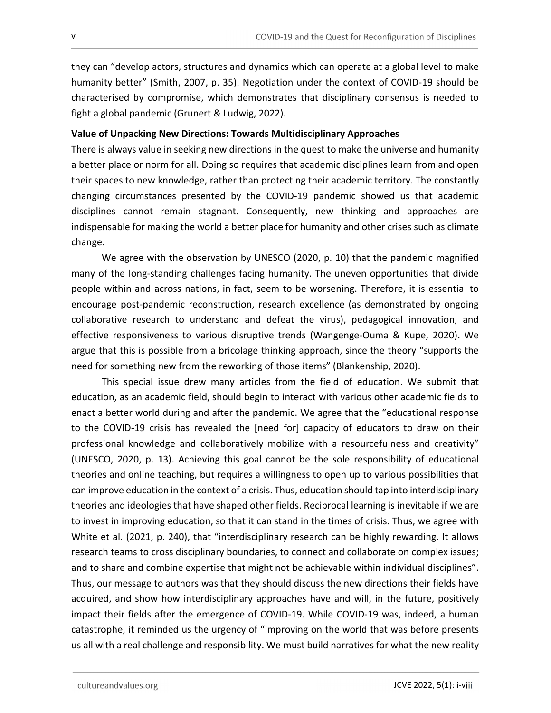they can "develop actors, structures and dynamics which can operate at a global level to make humanity better" (Smith, 2007, p. 35). Negotiation under the context of COVID-19 should be characterised by compromise, which demonstrates that disciplinary consensus is needed to fight a global pandemic (Grunert & Ludwig, 2022).

## Value of Unpacking New Directions: Towards Multidisciplinary Approaches

There is always value in seeking new directions in the quest to make the universe and humanity a better place or norm for all. Doing so requires that academic disciplines learn from and open their spaces to new knowledge, rather than protecting their academic territory. The constantly changing circumstances presented by the COVID-19 pandemic showed us that academic disciplines cannot remain stagnant. Consequently, new thinking and approaches are indispensable for making the world a better place for humanity and other crises such as climate change.

We agree with the observation by UNESCO (2020, p. 10) that the pandemic magnified many of the long-standing challenges facing humanity. The uneven opportunities that divide people within and across nations, in fact, seem to be worsening. Therefore, it is essential to encourage post-pandemic reconstruction, research excellence (as demonstrated by ongoing collaborative research to understand and defeat the virus), pedagogical innovation, and effective responsiveness to various disruptive trends (Wangenge-Ouma & Kupe, 2020). We argue that this is possible from a bricolage thinking approach, since the theory "supports the need for something new from the reworking of those items" (Blankenship, 2020).

This special issue drew many articles from the field of education. We submit that education, as an academic field, should begin to interact with various other academic fields to enact a better world during and after the pandemic. We agree that the "educational response to the COVID-19 crisis has revealed the [need for] capacity of educators to draw on their professional knowledge and collaboratively mobilize with a resourcefulness and creativity" (UNESCO, 2020, p. 13). Achieving this goal cannot be the sole responsibility of educational theories and online teaching, but requires a willingness to open up to various possibilities that can improve education in the context of a crisis. Thus, education should tap into interdisciplinary theories and ideologies that have shaped other fields. Reciprocal learning is inevitable if we are to invest in improving education, so that it can stand in the times of crisis. Thus, we agree with White et al. (2021, p. 240), that "interdisciplinary research can be highly rewarding. It allows research teams to cross disciplinary boundaries, to connect and collaborate on complex issues; and to share and combine expertise that might not be achievable within individual disciplines". Thus, our message to authors was that they should discuss the new directions their fields have acquired, and show how interdisciplinary approaches have and will, in the future, positively impact their fields after the emergence of COVID-19. While COVID-19 was, indeed, a human catastrophe, it reminded us the urgency of "improving on the world that was before presents us all with a real challenge and responsibility. We must build narratives for what the new reality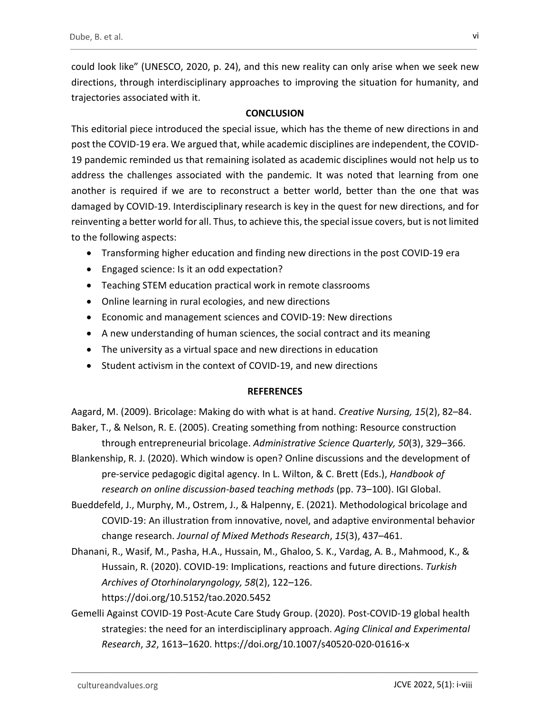could look like" (UNESCO, 2020, p. 24), and this new reality can only arise when we seek new directions, through interdisciplinary approaches to improving the situation for humanity, and trajectories associated with it.

## **CONCLUSION**

This editorial piece introduced the special issue, which has the theme of new directions in and post the COVID-19 era. We argued that, while academic disciplines are independent, the COVID-19 pandemic reminded us that remaining isolated as academic disciplines would not help us to address the challenges associated with the pandemic. It was noted that learning from one another is required if we are to reconstruct a better world, better than the one that was damaged by COVID-19. Interdisciplinary research is key in the quest for new directions, and for reinventing a better world for all. Thus, to achieve this, the special issue covers, but is not limited to the following aspects:

- Transforming higher education and finding new directions in the post COVID-19 era
- **Engaged science: Is it an odd expectation?**
- Teaching STEM education practical work in remote classrooms
- Online learning in rural ecologies, and new directions
- Economic and management sciences and COVID-19: New directions
- A new understanding of human sciences, the social contract and its meaning
- The university as a virtual space and new directions in education
- Student activism in the context of COVID-19, and new directions

### **REFERENCES**

Aagard, M. (2009). Bricolage: Making do with what is at hand. Creative Nursing, 15(2), 82–84. Baker, T., & Nelson, R. E. (2005). Creating something from nothing: Resource construction

through entrepreneurial bricolage. Administrative Science Quarterly, 50(3), 329–366. Blankenship, R. J. (2020). Which window is open? Online discussions and the development of

pre-service pedagogic digital agency. In L. Wilton, & C. Brett (Eds.), Handbook of research on online discussion-based teaching methods (pp. 73–100). IGI Global.

- Bueddefeld, J., Murphy, M., Ostrem, J., & Halpenny, E. (2021). Methodological bricolage and COVID-19: An illustration from innovative, novel, and adaptive environmental behavior change research. Journal of Mixed Methods Research, 15(3), 437–461.
- Dhanani, R., Wasif, M., Pasha, H.A., Hussain, M., Ghaloo, S. K., Vardag, A. B., Mahmood, K., & Hussain, R. (2020). COVID-19: Implications, reactions and future directions. Turkish Archives of Otorhinolaryngology, 58(2), 122–126. https://doi.org/10.5152/tao.2020.5452
- Gemelli Against COVID-19 Post-Acute Care Study Group. (2020). Post-COVID-19 global health strategies: the need for an interdisciplinary approach. Aging Clinical and Experimental Research, 32, 1613–1620. https://doi.org/10.1007/s40520-020-01616-x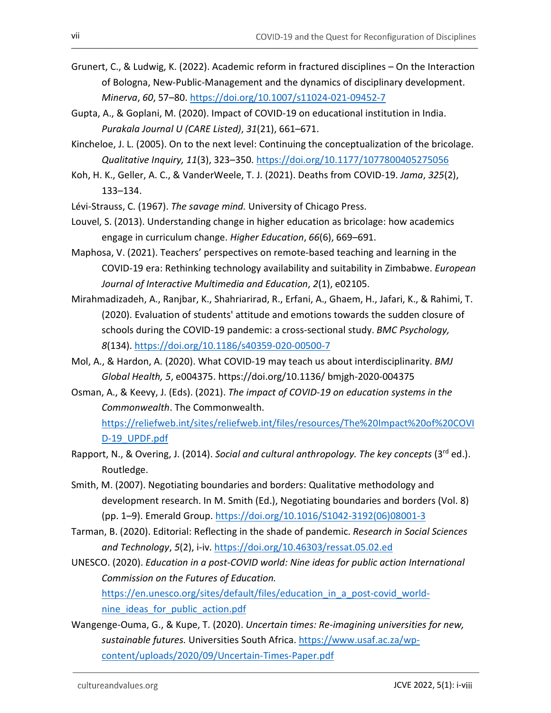- Grunert, C., & Ludwig, K. (2022). Academic reform in fractured disciplines On the Interaction of Bologna, New-Public-Management and the dynamics of disciplinary development. Minerva, 60, 57–80. https://doi.org/10.1007/s11024-021-09452-7
- Gupta, A., & Goplani, M. (2020). Impact of COVID-19 on educational institution in India. Purakala Journal U (CARE Listed), 31(21), 661–671.
- Kincheloe, J. L. (2005). On to the next level: Continuing the conceptualization of the bricolage. Qualitative Inquiry, 11(3), 323–350. https://doi.org/10.1177/1077800405275056
- Koh, H. K., Geller, A. C., & VanderWeele, T. J. (2021). Deaths from COVID-19. Jama, 325(2), 133–134.
- Lévi-Strauss, C. (1967). The savage mind. University of Chicago Press.
- Louvel, S. (2013). Understanding change in higher education as bricolage: how academics engage in curriculum change. Higher Education, 66(6), 669–691.
- Maphosa, V. (2021). Teachers' perspectives on remote-based teaching and learning in the COVID-19 era: Rethinking technology availability and suitability in Zimbabwe. European Journal of Interactive Multimedia and Education, 2(1), e02105.
- Mirahmadizadeh, A., Ranjbar, K., Shahriarirad, R., Erfani, A., Ghaem, H., Jafari, K., & Rahimi, T. (2020). Evaluation of students' attitude and emotions towards the sudden closure of schools during the COVID-19 pandemic: a cross-sectional study. BMC Psychology,
- 8(134). https://doi.org/10.1186/s40359-020-00500-7<br>Mol, A., & Hardon, A. (2020). What COVID-19 may teach us about interdisciplinarity. BMJ Global Health, 5, e004375. https://doi.org/10.1136/ bmjgh-2020-004375
- Osman, A., & Keevy, J. (Eds). (2021). The impact of COVID-19 on education systems in the Commonwealth. The Commonwealth.

https://reliefweb.int/sites/reliefweb.int/files/resources/The%20Impact%20of%20COVI

- D-19\_UPDF.pdf Bapport, N., & Overing, J. (2014). Social and cultural anthropology. The key concepts (3<sup>rd</sup> ed.). Routledge.
- Smith, M. (2007). Negotiating boundaries and borders: Qualitative methodology and development research. In M. Smith (Ed.), Negotiating boundaries and borders (Vol. 8) (pp. 1–9). Emerald Group. https://doi.org/10.1016/S1042-3192(06)08001-3
- Tarman, B. (2020). Editorial: Reflecting in the shade of pandemic. Research in Social Sciences
- and Technology, 5(2), i-iv. https://doi.org/10.46303/ressat.05.02.ed<br>UNESCO. (2020). Education in a post-COVID world: Nine ideas for public action International Commission on the Futures of Education.

https://en.unesco.org/sites/default/files/education\_in\_a\_post-covid\_worldnine\_ideas\_for\_public\_action.pdf

Wangenge-Ouma, G., & Kupe, T. (2020). Uncertain times: Re-imagining universities for new, sustainable futures. Universities South Africa. https://www.usaf.ac.za/wpcontent/uploads/2020/09/Uncertain-Times-Paper.pdf